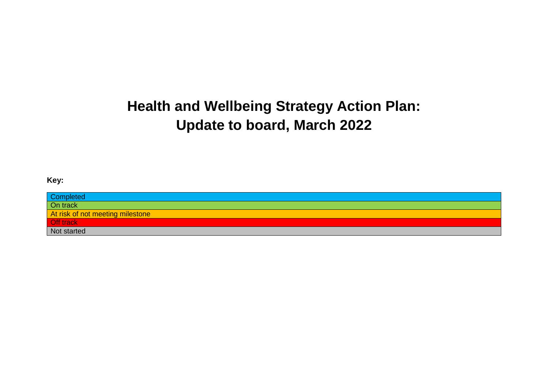# **Health and Wellbeing Strategy Action Plan: Update to board, March 2022**

#### **Key:**

| Completed                        |  |
|----------------------------------|--|
| $\overline{On track}$            |  |
| At risk of not meeting milestone |  |
| Off track<br>Not started         |  |
|                                  |  |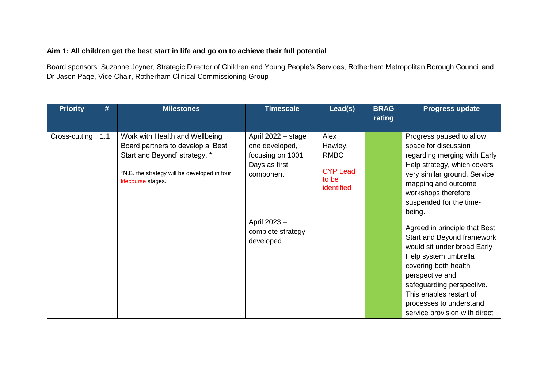#### **Aim 1: All children get the best start in life and go on to achieve their full potential**

Board sponsors: Suzanne Joyner, Strategic Director of Children and Young People's Services, Rotherham Metropolitan Borough Council and Dr Jason Page, Vice Chair, Rotherham Clinical Commissioning Group

| <b>Priority</b> | #   | <b>Milestones</b>                                                                                   | <b>Timescale</b>                               | Lead(s)                                               | <b>BRAG</b><br>rating | <b>Progress update</b>                                                                                                                    |
|-----------------|-----|-----------------------------------------------------------------------------------------------------|------------------------------------------------|-------------------------------------------------------|-----------------------|-------------------------------------------------------------------------------------------------------------------------------------------|
| Cross-cutting   | 1.1 | Work with Health and Wellbeing<br>Board partners to develop a 'Best                                 | April 2022 - stage<br>one developed,           | Alex<br>Hawley,                                       |                       | Progress paused to allow<br>space for discussion                                                                                          |
|                 |     | Start and Beyond' strategy. *<br>*N.B. the strategy will be developed in four<br>lifecourse stages. | focusing on 1001<br>Days as first<br>component | <b>RMBC</b><br><b>CYP Lead</b><br>to be<br>identified |                       | regarding merging with Early<br>Help strategy, which covers<br>very similar ground. Service<br>mapping and outcome<br>workshops therefore |
|                 |     |                                                                                                     | April 2023 -                                   |                                                       |                       | suspended for the time-<br>being.                                                                                                         |
|                 |     |                                                                                                     | complete strategy<br>developed                 |                                                       |                       | Agreed in principle that Best<br>Start and Beyond framework<br>would sit under broad Early<br>Help system umbrella                        |
|                 |     |                                                                                                     |                                                |                                                       |                       | covering both health<br>perspective and<br>safeguarding perspective.                                                                      |
|                 |     |                                                                                                     |                                                |                                                       |                       | This enables restart of<br>processes to understand<br>service provision with direct                                                       |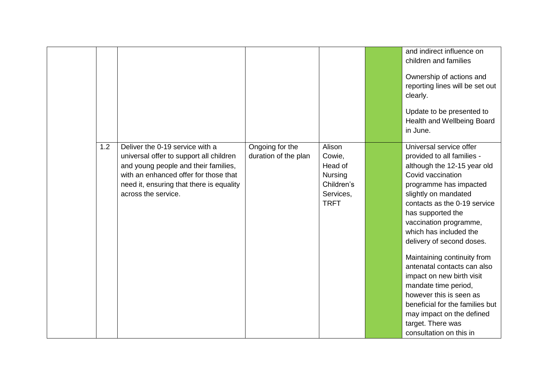|     |                                                                                                                                                                                                                                |                                         |                                                                                         | and indirect influence on<br>children and families<br>Ownership of actions and<br>reporting lines will be set out<br>clearly.<br>Update to be presented to<br>Health and Wellbeing Board<br>in June.                                                                                                                                                                                                                                                                                                                                                            |
|-----|--------------------------------------------------------------------------------------------------------------------------------------------------------------------------------------------------------------------------------|-----------------------------------------|-----------------------------------------------------------------------------------------|-----------------------------------------------------------------------------------------------------------------------------------------------------------------------------------------------------------------------------------------------------------------------------------------------------------------------------------------------------------------------------------------------------------------------------------------------------------------------------------------------------------------------------------------------------------------|
| 1.2 | Deliver the 0-19 service with a<br>universal offer to support all children<br>and young people and their families,<br>with an enhanced offer for those that<br>need it, ensuring that there is equality<br>across the service. | Ongoing for the<br>duration of the plan | Alison<br>Cowie,<br>Head of<br><b>Nursing</b><br>Children's<br>Services,<br><b>TRFT</b> | Universal service offer<br>provided to all families -<br>although the 12-15 year old<br>Covid vaccination<br>programme has impacted<br>slightly on mandated<br>contacts as the 0-19 service<br>has supported the<br>vaccination programme,<br>which has included the<br>delivery of second doses.<br>Maintaining continuity from<br>antenatal contacts can also<br>impact on new birth visit<br>mandate time period,<br>however this is seen as<br>beneficial for the families but<br>may impact on the defined<br>target. There was<br>consultation on this in |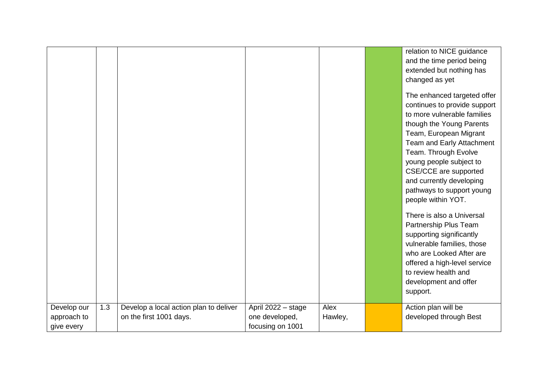| relation to NICE guidance<br>and the time period being<br>extended but nothing has<br>changed as yet<br>The enhanced targeted offer<br>continues to provide support<br>to more vulnerable families<br>though the Young Parents<br>Team, European Migrant<br>Team and Early Attachment<br>Team. Through Evolve<br>young people subject to<br>CSE/CCE are supported<br>and currently developing<br>pathways to support young<br>people within YOT.<br>There is also a Universal<br>Partnership Plus Team<br>supporting significantly<br>vulnerable families, those<br>who are Looked After are |
|----------------------------------------------------------------------------------------------------------------------------------------------------------------------------------------------------------------------------------------------------------------------------------------------------------------------------------------------------------------------------------------------------------------------------------------------------------------------------------------------------------------------------------------------------------------------------------------------|
|                                                                                                                                                                                                                                                                                                                                                                                                                                                                                                                                                                                              |
|                                                                                                                                                                                                                                                                                                                                                                                                                                                                                                                                                                                              |
|                                                                                                                                                                                                                                                                                                                                                                                                                                                                                                                                                                                              |
|                                                                                                                                                                                                                                                                                                                                                                                                                                                                                                                                                                                              |
| offered a high-level service                                                                                                                                                                                                                                                                                                                                                                                                                                                                                                                                                                 |
| to review health and                                                                                                                                                                                                                                                                                                                                                                                                                                                                                                                                                                         |
| development and offer                                                                                                                                                                                                                                                                                                                                                                                                                                                                                                                                                                        |
| support.                                                                                                                                                                                                                                                                                                                                                                                                                                                                                                                                                                                     |
| Alex<br>Action plan will be<br>1.3<br>Develop a local action plan to deliver<br>April 2022 - stage<br>Develop our                                                                                                                                                                                                                                                                                                                                                                                                                                                                            |
| developed through Best<br>on the first 1001 days.<br>one developed,<br>approach to<br>Hawley,                                                                                                                                                                                                                                                                                                                                                                                                                                                                                                |
| focusing on 1001<br>give every                                                                                                                                                                                                                                                                                                                                                                                                                                                                                                                                                               |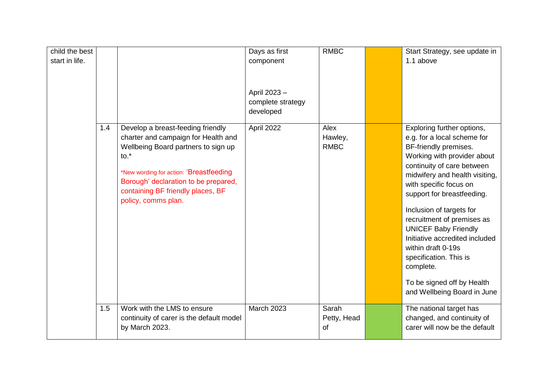| child the best<br>start in life. |     |                                                                                                                                                                                                                                                                                   | Days as first<br>component<br>April 2023-<br>complete strategy<br>developed | <b>RMBC</b>                    | Start Strategy, see update in<br>1.1 above                                                                                                                                                                                                                                                                                                                                                                                                                                                     |
|----------------------------------|-----|-----------------------------------------------------------------------------------------------------------------------------------------------------------------------------------------------------------------------------------------------------------------------------------|-----------------------------------------------------------------------------|--------------------------------|------------------------------------------------------------------------------------------------------------------------------------------------------------------------------------------------------------------------------------------------------------------------------------------------------------------------------------------------------------------------------------------------------------------------------------------------------------------------------------------------|
|                                  | 1.4 | Develop a breast-feeding friendly<br>charter and campaign for Health and<br>Wellbeing Board partners to sign up<br>$\mathsf{to}$ .<br>*New wording for action: 'Breastfeeding<br>Borough' declaration to be prepared,<br>containing BF friendly places, BF<br>policy, comms plan. | April 2022                                                                  | Alex<br>Hawley,<br><b>RMBC</b> | Exploring further options,<br>e.g. for a local scheme for<br>BF-friendly premises.<br>Working with provider about<br>continuity of care between<br>midwifery and health visiting,<br>with specific focus on<br>support for breastfeeding.<br>Inclusion of targets for<br>recruitment of premises as<br><b>UNICEF Baby Friendly</b><br>Initiative accredited included<br>within draft 0-19s<br>specification. This is<br>complete.<br>To be signed off by Health<br>and Wellbeing Board in June |
|                                  | 1.5 | Work with the LMS to ensure<br>continuity of carer is the default model<br>by March 2023.                                                                                                                                                                                         | <b>March 2023</b>                                                           | Sarah<br>Petty, Head<br>of     | The national target has<br>changed, and continuity of<br>carer will now be the default                                                                                                                                                                                                                                                                                                                                                                                                         |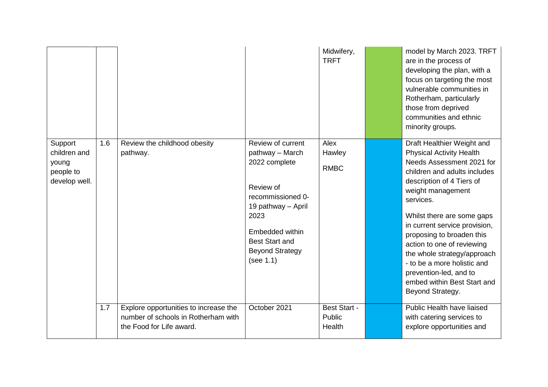|                                                                |     |                                                                                                          |                                                                                                                                                                                                          | Midwifery,<br><b>TRFT</b>               | model by March 2023. TRFT<br>are in the process of<br>developing the plan, with a<br>focus on targeting the most<br>vulnerable communities in<br>Rotherham, particularly<br>those from deprived<br>communities and ethnic<br>minority groups.                                                                                                                                                                                                                  |
|----------------------------------------------------------------|-----|----------------------------------------------------------------------------------------------------------|----------------------------------------------------------------------------------------------------------------------------------------------------------------------------------------------------------|-----------------------------------------|----------------------------------------------------------------------------------------------------------------------------------------------------------------------------------------------------------------------------------------------------------------------------------------------------------------------------------------------------------------------------------------------------------------------------------------------------------------|
| Support<br>children and<br>young<br>people to<br>develop well. | 1.6 | Review the childhood obesity<br>pathway.                                                                 | Review of current<br>pathway - March<br>2022 complete<br>Review of<br>recommissioned 0-<br>19 pathway - April<br>2023<br>Embedded within<br><b>Best Start and</b><br><b>Beyond Strategy</b><br>(see 1.1) | Alex<br>Hawley<br><b>RMBC</b>           | Draft Healthier Weight and<br><b>Physical Activity Health</b><br>Needs Assessment 2021 for<br>children and adults includes<br>description of 4 Tiers of<br>weight management<br>services.<br>Whilst there are some gaps<br>in current service provision,<br>proposing to broaden this<br>action to one of reviewing<br>the whole strategy/approach<br>- to be a more holistic and<br>prevention-led, and to<br>embed within Best Start and<br>Beyond Strategy. |
|                                                                | 1.7 | Explore opportunities to increase the<br>number of schools in Rotherham with<br>the Food for Life award. | October 2021                                                                                                                                                                                             | <b>Best Start -</b><br>Public<br>Health | Public Health have liaised<br>with catering services to<br>explore opportunities and                                                                                                                                                                                                                                                                                                                                                                           |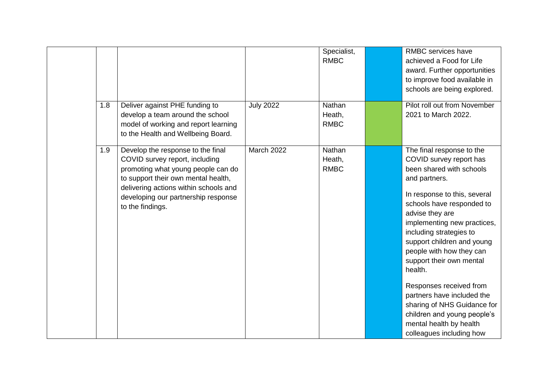|     |                                       |                  | Specialist, | <b>RMBC</b> services have    |
|-----|---------------------------------------|------------------|-------------|------------------------------|
|     |                                       |                  | <b>RMBC</b> | achieved a Food for Life     |
|     |                                       |                  |             | award. Further opportunities |
|     |                                       |                  |             | to improve food available in |
|     |                                       |                  |             | schools are being explored.  |
| 1.8 | Deliver against PHE funding to        | <b>July 2022</b> | Nathan      | Pilot roll out from November |
|     | develop a team around the school      |                  | Heath,      | 2021 to March 2022.          |
|     | model of working and report learning  |                  | <b>RMBC</b> |                              |
|     | to the Health and Wellbeing Board.    |                  |             |                              |
| 1.9 | Develop the response to the final     | March 2022       | Nathan      | The final response to the    |
|     | COVID survey report, including        |                  | Heath,      | COVID survey report has      |
|     | promoting what young people can do    |                  | <b>RMBC</b> | been shared with schools     |
|     | to support their own mental health,   |                  |             | and partners.                |
|     | delivering actions within schools and |                  |             | In response to this, several |
|     | developing our partnership response   |                  |             | schools have responded to    |
|     | to the findings.                      |                  |             | advise they are              |
|     |                                       |                  |             | implementing new practices,  |
|     |                                       |                  |             | including strategies to      |
|     |                                       |                  |             | support children and young   |
|     |                                       |                  |             | people with how they can     |
|     |                                       |                  |             | support their own mental     |
|     |                                       |                  |             | health.                      |
|     |                                       |                  |             | Responses received from      |
|     |                                       |                  |             | partners have included the   |
|     |                                       |                  |             | sharing of NHS Guidance for  |
|     |                                       |                  |             | children and young people's  |
|     |                                       |                  |             | mental health by health      |
|     |                                       |                  |             | colleagues including how     |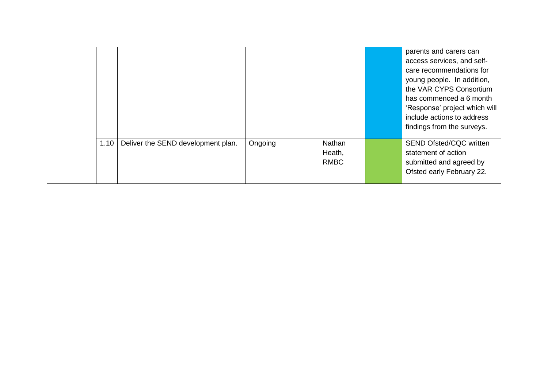|      |                                    |         |                                 | parents and carers can<br>access services, and self-<br>care recommendations for<br>young people. In addition,<br>the VAR CYPS Consortium<br>has commenced a 6 month<br>'Response' project which will<br>include actions to address<br>findings from the surveys. |
|------|------------------------------------|---------|---------------------------------|-------------------------------------------------------------------------------------------------------------------------------------------------------------------------------------------------------------------------------------------------------------------|
| 1.10 | Deliver the SEND development plan. | Ongoing | Nathan<br>Heath,<br><b>RMBC</b> | <b>SEND Ofsted/CQC written</b><br>statement of action<br>submitted and agreed by<br>Ofsted early February 22.                                                                                                                                                     |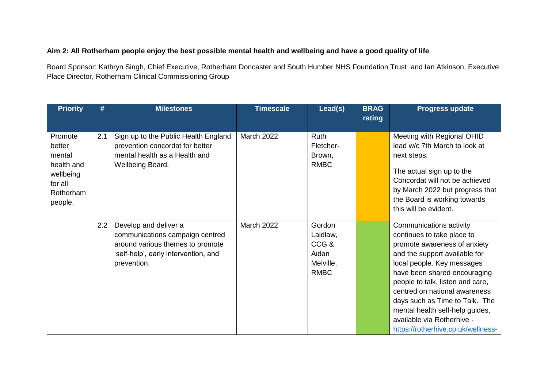#### **Aim 2: All Rotherham people enjoy the best possible mental health and wellbeing and have a good quality of life**

Board Sponsor: Kathryn Singh, Chief Executive, Rotherham Doncaster and South Humber NHS Foundation Trust and Ian Atkinson, Executive Place Director, Rotherham Clinical Commissioning Group

| <b>Priority</b>                                                                           | #   | <b>Milestones</b>                                                                                                                                   | <b>Timescale</b>  | Lead(s)                                                         | <b>BRAG</b><br>rating | <b>Progress update</b>                                                                                                                                                                                                                                                                                                                                                                             |
|-------------------------------------------------------------------------------------------|-----|-----------------------------------------------------------------------------------------------------------------------------------------------------|-------------------|-----------------------------------------------------------------|-----------------------|----------------------------------------------------------------------------------------------------------------------------------------------------------------------------------------------------------------------------------------------------------------------------------------------------------------------------------------------------------------------------------------------------|
| Promote<br>better<br>mental<br>health and<br>wellbeing<br>for all<br>Rotherham<br>people. | 2.1 | Sign up to the Public Health England<br>prevention concordat for better<br>mental health as a Health and<br>Wellbeing Board.                        | <b>March 2022</b> | <b>Ruth</b><br>Fletcher-<br>Brown,<br><b>RMBC</b>               |                       | Meeting with Regional OHID<br>lead w/c 7th March to look at<br>next steps.<br>The actual sign up to the<br>Concordat will not be achieved<br>by March 2022 but progress that<br>the Board is working towards<br>this will be evident.                                                                                                                                                              |
|                                                                                           | 2.2 | Develop and deliver a<br>communications campaign centred<br>around various themes to promote<br>'self-help', early intervention, and<br>prevention. | March 2022        | Gordon<br>Laidlaw,<br>CCG&<br>Aidan<br>Melville,<br><b>RMBC</b> |                       | Communications activity<br>continues to take place to<br>promote awareness of anxiety<br>and the support available for<br>local people. Key messages<br>have been shared encouraging<br>people to talk, listen and care,<br>centred on national awareness<br>days such as Time to Talk. The<br>mental health self-help guides,<br>available via Rotherhive -<br>https://rotherhive.co.uk/wellness- |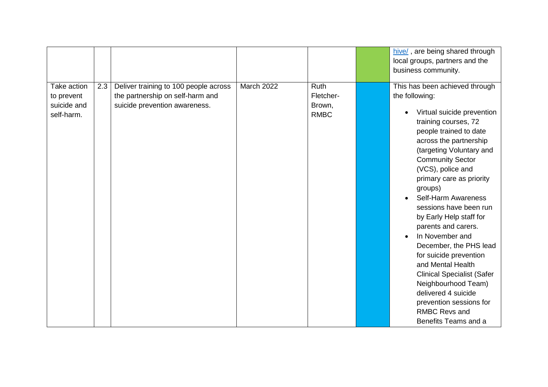|                                                        |     |                                                                                                            |            |                                                   | hive/, are being shared through<br>local groups, partners and the<br>business community.                                                                                                                                                                                                                                                                                                                                                                                                                                                                                                                                                                       |
|--------------------------------------------------------|-----|------------------------------------------------------------------------------------------------------------|------------|---------------------------------------------------|----------------------------------------------------------------------------------------------------------------------------------------------------------------------------------------------------------------------------------------------------------------------------------------------------------------------------------------------------------------------------------------------------------------------------------------------------------------------------------------------------------------------------------------------------------------------------------------------------------------------------------------------------------------|
| Take action<br>to prevent<br>suicide and<br>self-harm. | 2.3 | Deliver training to 100 people across<br>the partnership on self-harm and<br>suicide prevention awareness. | March 2022 | <b>Ruth</b><br>Fletcher-<br>Brown,<br><b>RMBC</b> | This has been achieved through<br>the following:<br>Virtual suicide prevention<br>$\bullet$<br>training courses, 72<br>people trained to date<br>across the partnership<br>(targeting Voluntary and<br><b>Community Sector</b><br>(VCS), police and<br>primary care as priority<br>groups)<br><b>Self-Harm Awareness</b><br>sessions have been run<br>by Early Help staff for<br>parents and carers.<br>In November and<br>December, the PHS lead<br>for suicide prevention<br>and Mental Health<br><b>Clinical Specialist (Safer</b><br>Neighbourhood Team)<br>delivered 4 suicide<br>prevention sessions for<br><b>RMBC Revs and</b><br>Benefits Teams and a |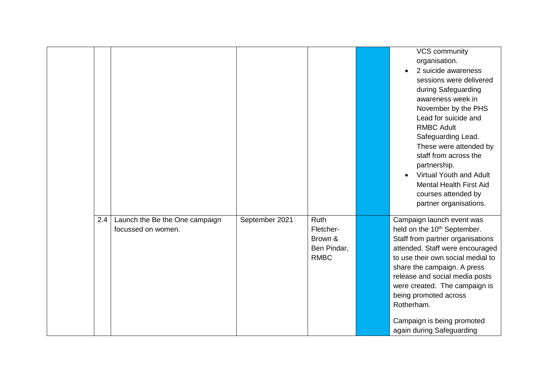|     |                                                      |                |                                                            | VCS community<br>organisation.<br>2 suicide awareness<br>sessions were delivered<br>during Safeguarding<br>awareness week in<br>November by the PHS<br>Lead for suicide and<br><b>RMBC Adult</b><br>Safeguarding Lead.<br>These were attended by<br>staff from across the<br>partnership.<br><b>Virtual Youth and Adult</b><br>$\bullet$<br><b>Mental Health First Aid</b><br>courses attended by<br>partner organisations. |
|-----|------------------------------------------------------|----------------|------------------------------------------------------------|-----------------------------------------------------------------------------------------------------------------------------------------------------------------------------------------------------------------------------------------------------------------------------------------------------------------------------------------------------------------------------------------------------------------------------|
| 2.4 | Launch the Be the One campaign<br>focussed on women. | September 2021 | Ruth<br>Fletcher-<br>Brown &<br>Ben Pindar,<br><b>RMBC</b> | Campaign launch event was<br>held on the 10 <sup>th</sup> September.<br>Staff from partner organisations<br>attended. Staff were encouraged<br>to use their own social medial to<br>share the campaign. A press<br>release and social media posts<br>were created. The campaign is<br>being promoted across<br>Rotherham.<br>Campaign is being promoted<br>again during Safeguarding                                        |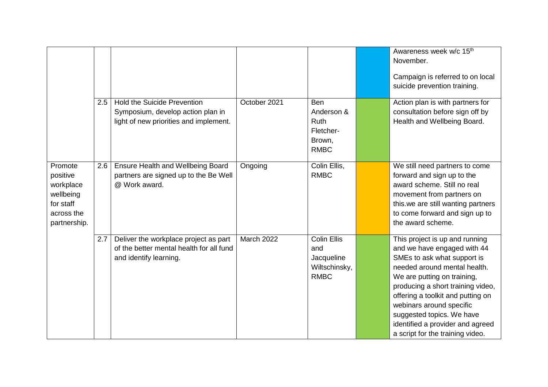|                                                                                          |     |                                                                                                                   |                   |                                                                               | Awareness week w/c 15 <sup>th</sup><br>November.<br>Campaign is referred to on local<br>suicide prevention training.                                                                                                                                                                                                                                                   |
|------------------------------------------------------------------------------------------|-----|-------------------------------------------------------------------------------------------------------------------|-------------------|-------------------------------------------------------------------------------|------------------------------------------------------------------------------------------------------------------------------------------------------------------------------------------------------------------------------------------------------------------------------------------------------------------------------------------------------------------------|
|                                                                                          | 2.5 | <b>Hold the Suicide Prevention</b><br>Symposium, develop action plan in<br>light of new priorities and implement. | October 2021      | <b>Ben</b><br>Anderson &<br><b>Ruth</b><br>Fletcher-<br>Brown,<br><b>RMBC</b> | Action plan is with partners for<br>consultation before sign off by<br>Health and Wellbeing Board.                                                                                                                                                                                                                                                                     |
| Promote<br>positive<br>workplace<br>wellbeing<br>for staff<br>across the<br>partnership. | 2.6 | Ensure Health and Wellbeing Board<br>partners are signed up to the Be Well<br>@ Work award.                       | Ongoing           | Colin Ellis,<br><b>RMBC</b>                                                   | We still need partners to come<br>forward and sign up to the<br>award scheme. Still no real<br>movement from partners on<br>this.we are still wanting partners<br>to come forward and sign up to<br>the award scheme.                                                                                                                                                  |
|                                                                                          | 2.7 | Deliver the workplace project as part<br>of the better mental health for all fund<br>and identify learning.       | <b>March 2022</b> | <b>Colin Ellis</b><br>and<br>Jacqueline<br>Wiltschinsky,<br><b>RMBC</b>       | This project is up and running<br>and we have engaged with 44<br>SMEs to ask what support is<br>needed around mental health.<br>We are putting on training,<br>producing a short training video,<br>offering a toolkit and putting on<br>webinars around specific<br>suggested topics. We have<br>identified a provider and agreed<br>a script for the training video. |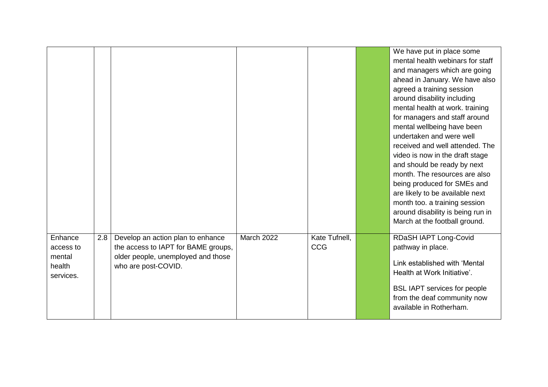|                                                       |     |                                                                                                                                       |                   |                             | We have put in place some<br>mental health webinars for staff<br>and managers which are going<br>ahead in January. We have also<br>agreed a training session<br>around disability including<br>mental health at work. training<br>for managers and staff around<br>mental wellbeing have been<br>undertaken and were well<br>received and well attended. The<br>video is now in the draft stage<br>and should be ready by next<br>month. The resources are also<br>being produced for SMEs and<br>are likely to be available next<br>month too. a training session<br>around disability is being run in<br>March at the football ground. |
|-------------------------------------------------------|-----|---------------------------------------------------------------------------------------------------------------------------------------|-------------------|-----------------------------|------------------------------------------------------------------------------------------------------------------------------------------------------------------------------------------------------------------------------------------------------------------------------------------------------------------------------------------------------------------------------------------------------------------------------------------------------------------------------------------------------------------------------------------------------------------------------------------------------------------------------------------|
| Enhance<br>access to<br>mental<br>health<br>services. | 2.8 | Develop an action plan to enhance<br>the access to IAPT for BAME groups,<br>older people, unemployed and those<br>who are post-COVID. | <b>March 2022</b> | Kate Tufnell,<br><b>CCG</b> | RDaSH IAPT Long-Covid<br>pathway in place.<br>Link established with 'Mental<br>Health at Work Initiative'.<br><b>BSL IAPT services for people</b><br>from the deaf community now<br>available in Rotherham.                                                                                                                                                                                                                                                                                                                                                                                                                              |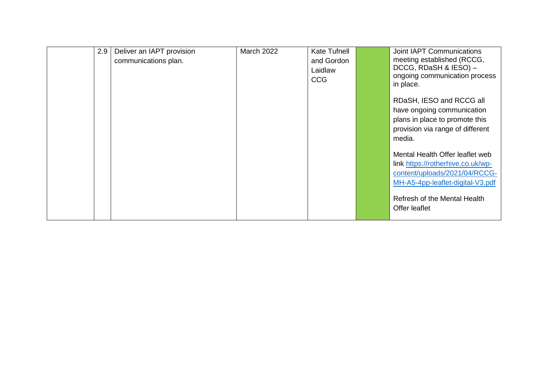| 2.9 | Deliver an IAPT provision<br>communications plan. | <b>March 2022</b> | <b>Kate Tufnell</b><br>and Gordon<br>Laidlaw<br><b>CCG</b> | Joint IAPT Communications<br>meeting established (RCCG,<br>DCCG, RDaSH & IESO) -<br>ongoing communication process<br>in place.            |
|-----|---------------------------------------------------|-------------------|------------------------------------------------------------|-------------------------------------------------------------------------------------------------------------------------------------------|
|     |                                                   |                   |                                                            | RDaSH, IESO and RCCG all<br>have ongoing communication<br>plans in place to promote this<br>provision via range of different<br>media.    |
|     |                                                   |                   |                                                            | Mental Health Offer leaflet web<br>link https://rotherhive.co.uk/wp-<br>content/uploads/2021/04/RCCG-<br>MH-A5-4pp-leaflet-digital-V3.pdf |
|     |                                                   |                   |                                                            | Refresh of the Mental Health<br>Offer leaflet                                                                                             |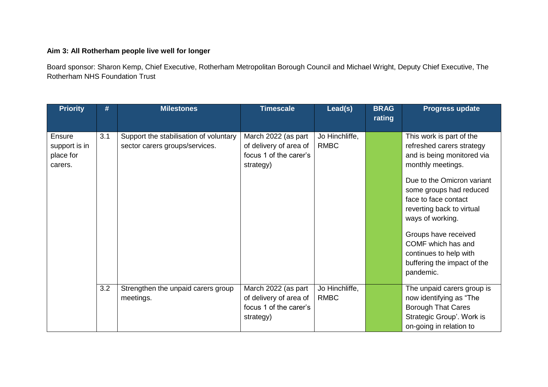### **Aim 3: All Rotherham people live well for longer**

Board sponsor: Sharon Kemp, Chief Executive, Rotherham Metropolitan Borough Council and Michael Wright, Deputy Chief Executive, The Rotherham NHS Foundation Trust

| <b>Priority</b>                                        | #   | <b>Milestones</b>                                                        | <b>Timescale</b>                                                                     | Lead(s)                       | <b>BRAG</b><br>rating | <b>Progress update</b>                                                                                                                                                                                                                                                                                                                                         |
|--------------------------------------------------------|-----|--------------------------------------------------------------------------|--------------------------------------------------------------------------------------|-------------------------------|-----------------------|----------------------------------------------------------------------------------------------------------------------------------------------------------------------------------------------------------------------------------------------------------------------------------------------------------------------------------------------------------------|
| <b>Ensure</b><br>support is in<br>place for<br>carers. | 3.1 | Support the stabilisation of voluntary<br>sector carers groups/services. | March 2022 (as part<br>of delivery of area of<br>focus 1 of the carer's<br>strategy) | Jo Hinchliffe,<br><b>RMBC</b> |                       | This work is part of the<br>refreshed carers strategy<br>and is being monitored via<br>monthly meetings.<br>Due to the Omicron variant<br>some groups had reduced<br>face to face contact<br>reverting back to virtual<br>ways of working.<br>Groups have received<br>COMF which has and<br>continues to help with<br>buffering the impact of the<br>pandemic. |
|                                                        | 3.2 | Strengthen the unpaid carers group<br>meetings.                          | March 2022 (as part<br>of delivery of area of<br>focus 1 of the carer's<br>strategy) | Jo Hinchliffe,<br><b>RMBC</b> |                       | The unpaid carers group is<br>now identifying as "The<br><b>Borough That Cares</b><br>Strategic Group'. Work is<br>on-going in relation to                                                                                                                                                                                                                     |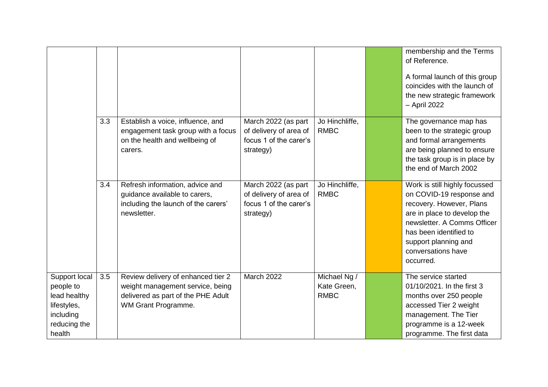|                                                                                                  |     |                                                                                                                                     |                                                                                      |                                            | membership and the Terms<br>of Reference.<br>A formal launch of this group<br>coincides with the launch of<br>the new strategic framework<br>- April 2022                                                                                |
|--------------------------------------------------------------------------------------------------|-----|-------------------------------------------------------------------------------------------------------------------------------------|--------------------------------------------------------------------------------------|--------------------------------------------|------------------------------------------------------------------------------------------------------------------------------------------------------------------------------------------------------------------------------------------|
|                                                                                                  | 3.3 | Establish a voice, influence, and<br>engagement task group with a focus<br>on the health and wellbeing of<br>carers.                | March 2022 (as part<br>of delivery of area of<br>focus 1 of the carer's<br>strategy) | Jo Hinchliffe,<br><b>RMBC</b>              | The governance map has<br>been to the strategic group<br>and formal arrangements<br>are being planned to ensure<br>the task group is in place by<br>the end of March 2002                                                                |
|                                                                                                  | 3.4 | Refresh information, advice and<br>guidance available to carers,<br>including the launch of the carers'<br>newsletter.              | March 2022 (as part<br>of delivery of area of<br>focus 1 of the carer's<br>strategy) | Jo Hinchliffe,<br><b>RMBC</b>              | Work is still highly focussed<br>on COVID-19 response and<br>recovery. However, Plans<br>are in place to develop the<br>newsletter, A Comms Officer<br>has been identified to<br>support planning and<br>conversations have<br>occurred. |
| Support local<br>people to<br>lead healthy<br>lifestyles,<br>including<br>reducing the<br>health | 3.5 | Review delivery of enhanced tier 2<br>weight management service, being<br>delivered as part of the PHE Adult<br>WM Grant Programme. | March 2022                                                                           | Michael Ng /<br>Kate Green,<br><b>RMBC</b> | The service started<br>01/10/2021. In the first 3<br>months over 250 people<br>accessed Tier 2 weight<br>management. The Tier<br>programme is a 12-week<br>programme. The first data                                                     |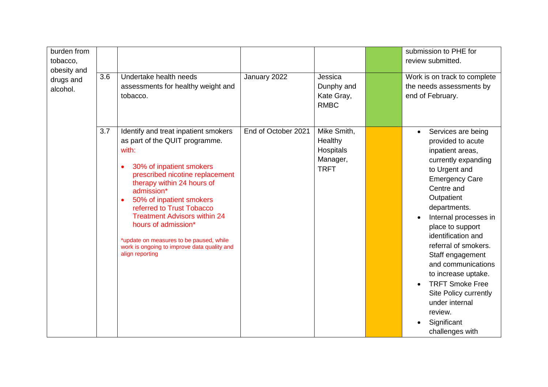| burden from<br>tobacco,<br>obesity and<br>drugs and<br>alcohol. | 3.6 | Undertake health needs<br>assessments for healthy weight and<br>tobacco.                                                                                                                                                                                                                                                                                                                                                                    | January 2022        | Jessica<br>Dunphy and<br>Kate Gray,<br><b>RMBC</b>             | submission to PHE for<br>review submitted.<br>Work is on track to complete<br>the needs assessments by<br>end of February.                                                                                                                                                                                                                                                                                                                                          |
|-----------------------------------------------------------------|-----|---------------------------------------------------------------------------------------------------------------------------------------------------------------------------------------------------------------------------------------------------------------------------------------------------------------------------------------------------------------------------------------------------------------------------------------------|---------------------|----------------------------------------------------------------|---------------------------------------------------------------------------------------------------------------------------------------------------------------------------------------------------------------------------------------------------------------------------------------------------------------------------------------------------------------------------------------------------------------------------------------------------------------------|
|                                                                 | 3.7 | Identify and treat inpatient smokers<br>as part of the QUIT programme.<br>with:<br>30% of inpatient smokers<br>prescribed nicotine replacement<br>therapy within 24 hours of<br>admission*<br>50% of inpatient smokers<br>$\bullet$<br>referred to Trust Tobacco<br><b>Treatment Advisors within 24</b><br>hours of admission*<br>*update on measures to be paused, while<br>work is ongoing to improve data quality and<br>align reporting | End of October 2021 | Mike Smith,<br>Healthy<br>Hospitals<br>Manager,<br><b>TRFT</b> | Services are being<br>$\bullet$<br>provided to acute<br>inpatient areas,<br>currently expanding<br>to Urgent and<br><b>Emergency Care</b><br>Centre and<br>Outpatient<br>departments.<br>Internal processes in<br>place to support<br>identification and<br>referral of smokers.<br>Staff engagement<br>and communications<br>to increase uptake.<br><b>TRFT Smoke Free</b><br>Site Policy currently<br>under internal<br>review.<br>Significant<br>challenges with |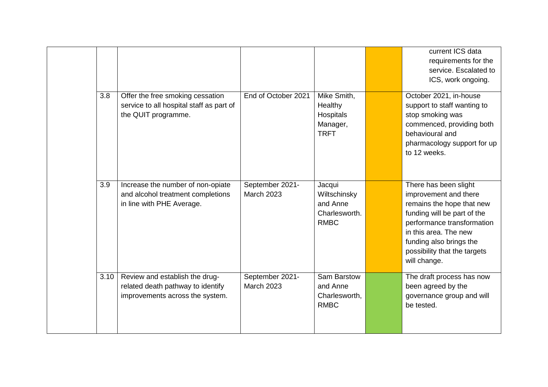|      |                                                                                                        |                                      |                                                                       | current ICS data<br>requirements for the<br>service. Escalated to<br>ICS, work ongoing.                                                                                                                                                      |
|------|--------------------------------------------------------------------------------------------------------|--------------------------------------|-----------------------------------------------------------------------|----------------------------------------------------------------------------------------------------------------------------------------------------------------------------------------------------------------------------------------------|
| 3.8  | Offer the free smoking cessation<br>service to all hospital staff as part of<br>the QUIT programme.    | End of October 2021                  | Mike Smith,<br>Healthy<br><b>Hospitals</b><br>Manager,<br><b>TRFT</b> | October 2021, in-house<br>support to staff wanting to<br>stop smoking was<br>commenced, providing both<br>behavioural and<br>pharmacology support for up<br>to 12 weeks.                                                                     |
| 3.9  | Increase the number of non-opiate<br>and alcohol treatment completions<br>in line with PHE Average.    | September 2021-<br><b>March 2023</b> | Jacqui<br>Wiltschinsky<br>and Anne<br>Charlesworth.<br><b>RMBC</b>    | There has been slight<br>improvement and there<br>remains the hope that new<br>funding will be part of the<br>performance transformation<br>in this area. The new<br>funding also brings the<br>possibility that the targets<br>will change. |
| 3.10 | Review and establish the drug-<br>related death pathway to identify<br>improvements across the system. | September 2021-<br><b>March 2023</b> | Sam Barstow<br>and Anne<br>Charlesworth,<br><b>RMBC</b>               | The draft process has now<br>been agreed by the<br>governance group and will<br>be tested.                                                                                                                                                   |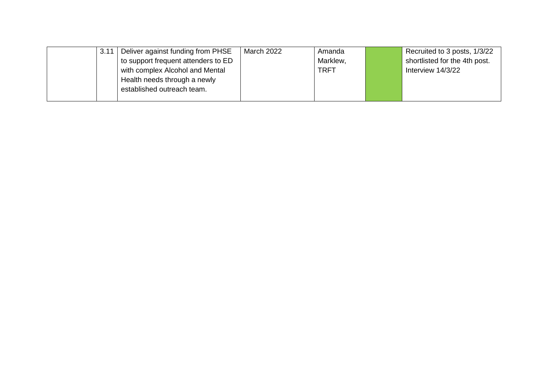| 3.11 | Deliver against funding from PHSE   | March 2022 | Amanda      | Recruited to 3 posts, 1/3/22  |
|------|-------------------------------------|------------|-------------|-------------------------------|
|      | to support frequent attenders to ED |            | Marklew,    | shortlisted for the 4th post. |
|      | with complex Alcohol and Mental     |            | <b>TRFT</b> | Interview 14/3/22             |
|      | Health needs through a newly        |            |             |                               |
|      | established outreach team.          |            |             |                               |
|      |                                     |            |             |                               |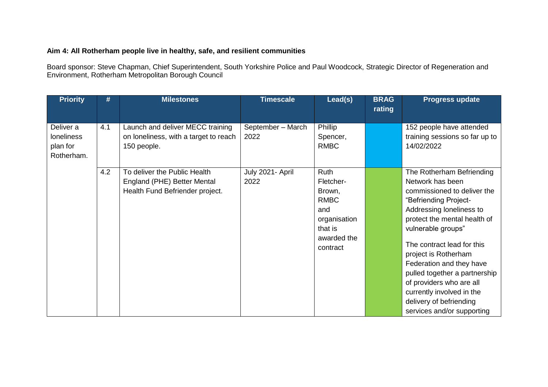#### **Aim 4: All Rotherham people live in healthy, safe, and resilient communities**

Board sponsor: Steve Chapman, Chief Superintendent, South Yorkshire Police and Paul Woodcock, Strategic Director of Regeneration and Environment, Rotherham Metropolitan Borough Council

| <b>Priority</b>                                          | #   | <b>Milestones</b>                                                                              | <b>Timescale</b>          | Lead(s)                                                                                                 | <b>BRAG</b><br>rating | <b>Progress update</b>                                                                                                                                                                                                                                                                                                                                                                                                       |
|----------------------------------------------------------|-----|------------------------------------------------------------------------------------------------|---------------------------|---------------------------------------------------------------------------------------------------------|-----------------------|------------------------------------------------------------------------------------------------------------------------------------------------------------------------------------------------------------------------------------------------------------------------------------------------------------------------------------------------------------------------------------------------------------------------------|
| Deliver a<br><b>loneliness</b><br>plan for<br>Rotherham. | 4.1 | Launch and deliver MECC training<br>on loneliness, with a target to reach<br>150 people.       | September - March<br>2022 | Phillip<br>Spencer,<br><b>RMBC</b>                                                                      |                       | 152 people have attended<br>training sessions so far up to<br>14/02/2022                                                                                                                                                                                                                                                                                                                                                     |
|                                                          | 4.2 | To deliver the Public Health<br>England (PHE) Better Mental<br>Health Fund Befriender project. | July 2021- April<br>2022  | Ruth<br>Fletcher-<br>Brown,<br><b>RMBC</b><br>and<br>organisation<br>that is<br>awarded the<br>contract |                       | The Rotherham Befriending<br>Network has been<br>commissioned to deliver the<br>"Befriending Project-<br>Addressing loneliness to<br>protect the mental health of<br>vulnerable groups"<br>The contract lead for this<br>project is Rotherham<br>Federation and they have<br>pulled together a partnership<br>of providers who are all<br>currently involved in the<br>delivery of befriending<br>services and/or supporting |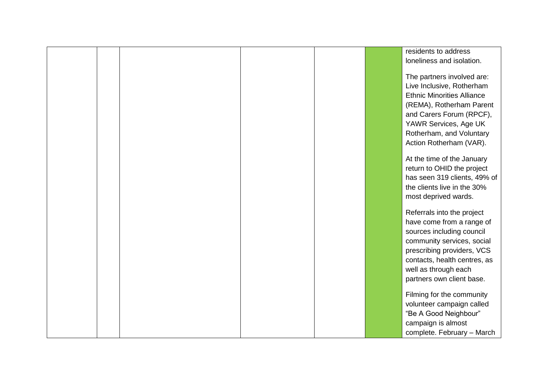|  |  |  | residents to address              |
|--|--|--|-----------------------------------|
|  |  |  | loneliness and isolation.         |
|  |  |  |                                   |
|  |  |  | The partners involved are:        |
|  |  |  | Live Inclusive, Rotherham         |
|  |  |  | <b>Ethnic Minorities Alliance</b> |
|  |  |  | (REMA), Rotherham Parent          |
|  |  |  | and Carers Forum (RPCF),          |
|  |  |  | YAWR Services, Age UK             |
|  |  |  | Rotherham, and Voluntary          |
|  |  |  | Action Rotherham (VAR).           |
|  |  |  |                                   |
|  |  |  | At the time of the January        |
|  |  |  | return to OHID the project        |
|  |  |  | has seen 319 clients, 49% of      |
|  |  |  | the clients live in the 30%       |
|  |  |  | most deprived wards.              |
|  |  |  |                                   |
|  |  |  | Referrals into the project        |
|  |  |  | have come from a range of         |
|  |  |  | sources including council         |
|  |  |  | community services, social        |
|  |  |  | prescribing providers, VCS        |
|  |  |  | contacts, health centres, as      |
|  |  |  | well as through each              |
|  |  |  | partners own client base.         |
|  |  |  | Filming for the community         |
|  |  |  | volunteer campaign called         |
|  |  |  | "Be A Good Neighbour"             |
|  |  |  | campaign is almost                |
|  |  |  | complete. February - March        |
|  |  |  |                                   |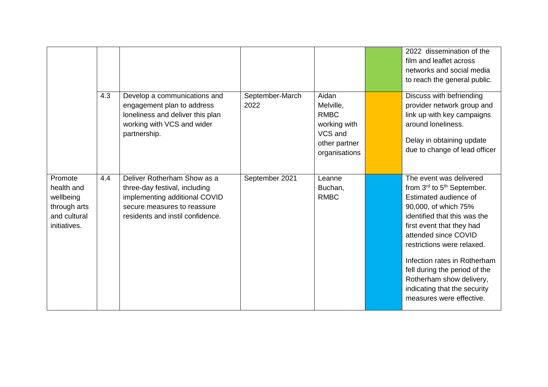|              |     |                                                                                                                                              |                         |                                                                                                | 2022 dissemination of the                                                                                                                                                |
|--------------|-----|----------------------------------------------------------------------------------------------------------------------------------------------|-------------------------|------------------------------------------------------------------------------------------------|--------------------------------------------------------------------------------------------------------------------------------------------------------------------------|
|              |     |                                                                                                                                              |                         |                                                                                                |                                                                                                                                                                          |
|              |     |                                                                                                                                              |                         |                                                                                                | film and leaflet across                                                                                                                                                  |
|              |     |                                                                                                                                              |                         |                                                                                                | networks and social media                                                                                                                                                |
|              |     |                                                                                                                                              |                         |                                                                                                | to reach the general public.                                                                                                                                             |
|              | 4.3 | Develop a communications and<br>engagement plan to address<br>loneliness and deliver this plan<br>working with VCS and wider<br>partnership. | September-March<br>2022 | Aidan<br>Melville,<br><b>RMBC</b><br>working with<br>VCS and<br>other partner<br>organisations | Discuss with befriending<br>provider network group and<br>link up with key campaigns<br>around loneliness.<br>Delay in obtaining update<br>due to change of lead officer |
| Promote      | 4.4 | Deliver Rotherham Show as a                                                                                                                  | September 2021          | Leanne                                                                                         | The event was delivered                                                                                                                                                  |
| health and   |     | three-day festival, including                                                                                                                |                         | Buchan,                                                                                        | from 3rd to 5 <sup>th</sup> September.                                                                                                                                   |
| wellbeing    |     | implementing additional COVID                                                                                                                |                         | <b>RMBC</b>                                                                                    | Estimated audience of                                                                                                                                                    |
| through arts |     | secure measures to reassure                                                                                                                  |                         |                                                                                                | 90,000, of which 75%                                                                                                                                                     |
| and cultural |     | residents and instil confidence.                                                                                                             |                         |                                                                                                | identified that this was the                                                                                                                                             |
| initiatives. |     |                                                                                                                                              |                         |                                                                                                | first event that they had                                                                                                                                                |
|              |     |                                                                                                                                              |                         |                                                                                                | attended since COVID                                                                                                                                                     |
|              |     |                                                                                                                                              |                         |                                                                                                |                                                                                                                                                                          |
|              |     |                                                                                                                                              |                         |                                                                                                | restrictions were relaxed.                                                                                                                                               |
|              |     |                                                                                                                                              |                         |                                                                                                | Infection rates in Rotherham<br>fell during the period of the<br>Rotherham show delivery,<br>indicating that the security<br>measures were effective.                    |
|              |     |                                                                                                                                              |                         |                                                                                                |                                                                                                                                                                          |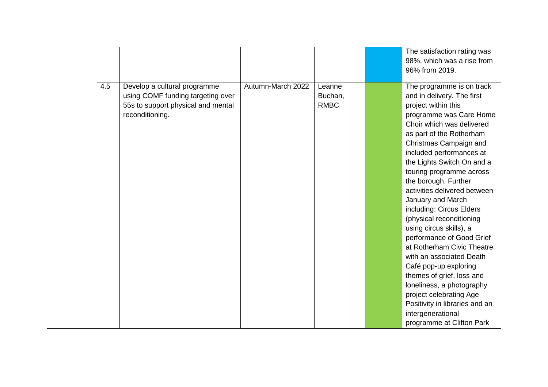|     |                                    |                   |             | The satisfaction rating was    |
|-----|------------------------------------|-------------------|-------------|--------------------------------|
|     |                                    |                   |             | 98%, which was a rise from     |
|     |                                    |                   |             | 96% from 2019.                 |
|     |                                    |                   |             |                                |
| 4.5 | Develop a cultural programme       | Autumn-March 2022 | Leanne      | The programme is on track      |
|     | using COMF funding targeting over  |                   | Buchan,     | and in delivery. The first     |
|     | 55s to support physical and mental |                   | <b>RMBC</b> | project within this            |
|     | reconditioning.                    |                   |             | programme was Care Home        |
|     |                                    |                   |             | Choir which was delivered      |
|     |                                    |                   |             | as part of the Rotherham       |
|     |                                    |                   |             | Christmas Campaign and         |
|     |                                    |                   |             | included performances at       |
|     |                                    |                   |             | the Lights Switch On and a     |
|     |                                    |                   |             | touring programme across       |
|     |                                    |                   |             | the borough. Further           |
|     |                                    |                   |             | activities delivered between   |
|     |                                    |                   |             | January and March              |
|     |                                    |                   |             | including: Circus Elders       |
|     |                                    |                   |             | (physical reconditioning       |
|     |                                    |                   |             | using circus skills), a        |
|     |                                    |                   |             | performance of Good Grief      |
|     |                                    |                   |             | at Rotherham Civic Theatre     |
|     |                                    |                   |             | with an associated Death       |
|     |                                    |                   |             | Café pop-up exploring          |
|     |                                    |                   |             | themes of grief, loss and      |
|     |                                    |                   |             | loneliness, a photography      |
|     |                                    |                   |             | project celebrating Age        |
|     |                                    |                   |             | Positivity in libraries and an |
|     |                                    |                   |             | intergenerational              |
|     |                                    |                   |             | programme at Clifton Park      |
|     |                                    |                   |             |                                |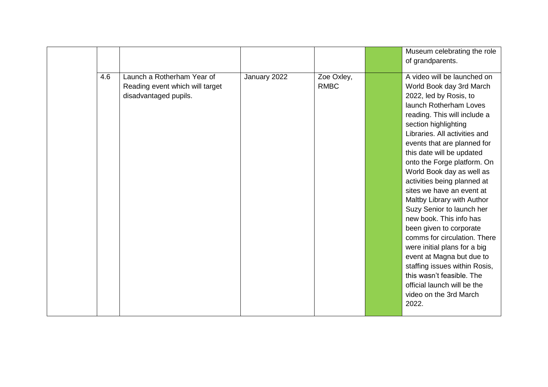|     |                                                                                        |              |                           | Museum celebrating the role<br>of grandparents.                                                                                                                                                                                                                                                                                                                                                                                                                                                                                                                                                                                                                                                                                        |
|-----|----------------------------------------------------------------------------------------|--------------|---------------------------|----------------------------------------------------------------------------------------------------------------------------------------------------------------------------------------------------------------------------------------------------------------------------------------------------------------------------------------------------------------------------------------------------------------------------------------------------------------------------------------------------------------------------------------------------------------------------------------------------------------------------------------------------------------------------------------------------------------------------------------|
| 4.6 | Launch a Rotherham Year of<br>Reading event which will target<br>disadvantaged pupils. | January 2022 | Zoe Oxley,<br><b>RMBC</b> | A video will be launched on<br>World Book day 3rd March<br>2022, led by Rosis, to<br>launch Rotherham Loves<br>reading. This will include a<br>section highlighting<br>Libraries. All activities and<br>events that are planned for<br>this date will be updated<br>onto the Forge platform. On<br>World Book day as well as<br>activities being planned at<br>sites we have an event at<br>Maltby Library with Author<br>Suzy Senior to launch her<br>new book. This info has<br>been given to corporate<br>comms for circulation. There<br>were initial plans for a big<br>event at Magna but due to<br>staffing issues within Rosis,<br>this wasn't feasible. The<br>official launch will be the<br>video on the 3rd March<br>2022. |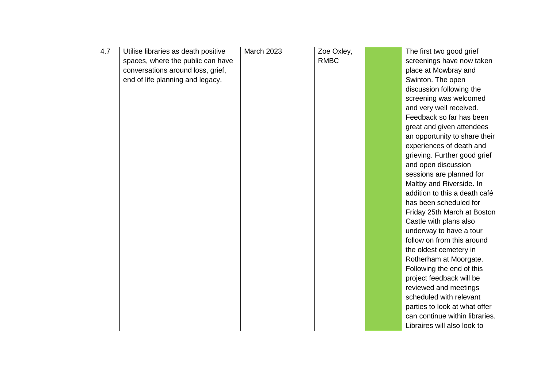| 4.7<br><b>March 2023</b><br>Zoe Oxley,<br>Utilise libraries as death positive<br>The first two good grief<br><b>RMBC</b><br>spaces, where the public can have<br>screenings have now taken<br>conversations around loss, grief,<br>place at Mowbray and<br>end of life planning and legacy.<br>Swinton. The open<br>discussion following the<br>screening was welcomed<br>and very well received. |
|---------------------------------------------------------------------------------------------------------------------------------------------------------------------------------------------------------------------------------------------------------------------------------------------------------------------------------------------------------------------------------------------------|
|                                                                                                                                                                                                                                                                                                                                                                                                   |
|                                                                                                                                                                                                                                                                                                                                                                                                   |
|                                                                                                                                                                                                                                                                                                                                                                                                   |
|                                                                                                                                                                                                                                                                                                                                                                                                   |
|                                                                                                                                                                                                                                                                                                                                                                                                   |
|                                                                                                                                                                                                                                                                                                                                                                                                   |
| Feedback so far has been                                                                                                                                                                                                                                                                                                                                                                          |
| great and given attendees                                                                                                                                                                                                                                                                                                                                                                         |
| an opportunity to share their                                                                                                                                                                                                                                                                                                                                                                     |
| experiences of death and                                                                                                                                                                                                                                                                                                                                                                          |
| grieving. Further good grief                                                                                                                                                                                                                                                                                                                                                                      |
| and open discussion                                                                                                                                                                                                                                                                                                                                                                               |
| sessions are planned for                                                                                                                                                                                                                                                                                                                                                                          |
| Maltby and Riverside. In                                                                                                                                                                                                                                                                                                                                                                          |
| addition to this a death café                                                                                                                                                                                                                                                                                                                                                                     |
| has been scheduled for                                                                                                                                                                                                                                                                                                                                                                            |
| Friday 25th March at Boston                                                                                                                                                                                                                                                                                                                                                                       |
| Castle with plans also                                                                                                                                                                                                                                                                                                                                                                            |
| underway to have a tour                                                                                                                                                                                                                                                                                                                                                                           |
| follow on from this around                                                                                                                                                                                                                                                                                                                                                                        |
| the oldest cemetery in                                                                                                                                                                                                                                                                                                                                                                            |
| Rotherham at Moorgate.                                                                                                                                                                                                                                                                                                                                                                            |
| Following the end of this                                                                                                                                                                                                                                                                                                                                                                         |
| project feedback will be                                                                                                                                                                                                                                                                                                                                                                          |
| reviewed and meetings                                                                                                                                                                                                                                                                                                                                                                             |
| scheduled with relevant                                                                                                                                                                                                                                                                                                                                                                           |
| parties to look at what offer                                                                                                                                                                                                                                                                                                                                                                     |
| can continue within libraries.                                                                                                                                                                                                                                                                                                                                                                    |
| Libraires will also look to                                                                                                                                                                                                                                                                                                                                                                       |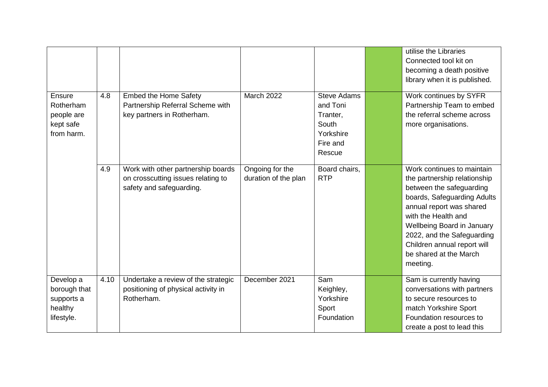|                                                                     |      |                                                                                                      |                                         |                                                                                        | utilise the Libraries<br>Connected tool kit on<br>becoming a death positive<br>library when it is published.                                                                                                                                                                                              |
|---------------------------------------------------------------------|------|------------------------------------------------------------------------------------------------------|-----------------------------------------|----------------------------------------------------------------------------------------|-----------------------------------------------------------------------------------------------------------------------------------------------------------------------------------------------------------------------------------------------------------------------------------------------------------|
| <b>Ensure</b><br>Rotherham<br>people are<br>kept safe<br>from harm. | 4.8  | <b>Embed the Home Safety</b><br>Partnership Referral Scheme with<br>key partners in Rotherham.       | <b>March 2022</b>                       | <b>Steve Adams</b><br>and Toni<br>Tranter,<br>South<br>Yorkshire<br>Fire and<br>Rescue | Work continues by SYFR<br>Partnership Team to embed<br>the referral scheme across<br>more organisations.                                                                                                                                                                                                  |
|                                                                     | 4.9  | Work with other partnership boards<br>on crosscutting issues relating to<br>safety and safeguarding. | Ongoing for the<br>duration of the plan | Board chairs,<br><b>RTP</b>                                                            | Work continues to maintain<br>the partnership relationship<br>between the safeguarding<br>boards, Safeguarding Adults<br>annual report was shared<br>with the Health and<br>Wellbeing Board in January<br>2022, and the Safeguarding<br>Children annual report will<br>be shared at the March<br>meeting. |
| Develop a<br>borough that<br>supports a<br>healthy<br>lifestyle.    | 4.10 | Undertake a review of the strategic<br>positioning of physical activity in<br>Rotherham.             | December 2021                           | Sam<br>Keighley,<br>Yorkshire<br>Sport<br>Foundation                                   | Sam is currently having<br>conversations with partners<br>to secure resources to<br>match Yorkshire Sport<br>Foundation resources to<br>create a post to lead this                                                                                                                                        |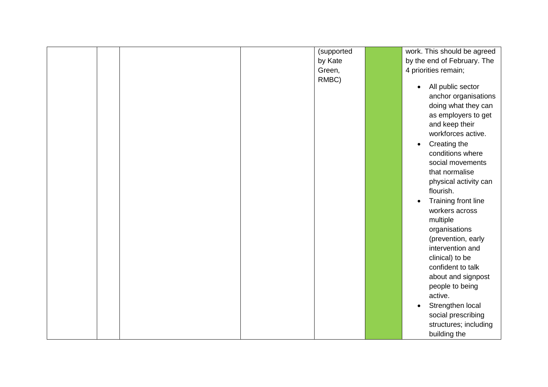|  |  | (supported | work. This should be agreed    |
|--|--|------------|--------------------------------|
|  |  | by Kate    | by the end of February. The    |
|  |  | Green,     | 4 priorities remain;           |
|  |  | RMBC)      |                                |
|  |  |            | All public sector<br>$\bullet$ |
|  |  |            | anchor organisations           |
|  |  |            | doing what they can            |
|  |  |            | as employers to get            |
|  |  |            | and keep their                 |
|  |  |            | workforces active.             |
|  |  |            | Creating the<br>$\bullet$      |
|  |  |            | conditions where               |
|  |  |            | social movements               |
|  |  |            | that normalise                 |
|  |  |            | physical activity can          |
|  |  |            | flourish.                      |
|  |  |            | Training front line            |
|  |  |            | workers across                 |
|  |  |            | multiple                       |
|  |  |            | organisations                  |
|  |  |            | (prevention, early             |
|  |  |            | intervention and               |
|  |  |            | clinical) to be                |
|  |  |            | confident to talk              |
|  |  |            | about and signpost             |
|  |  |            | people to being                |
|  |  |            | active.                        |
|  |  |            | Strengthen local<br>$\bullet$  |
|  |  |            | social prescribing             |
|  |  |            |                                |
|  |  |            | structures; including          |
|  |  |            | building the                   |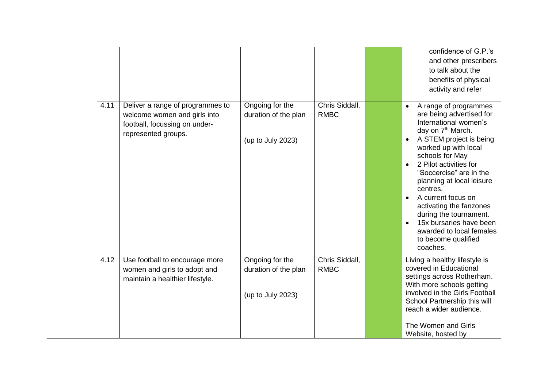|      |                                                                                                                          |                                                              |                               | confidence of G.P.'s                                                                                                                                                                                                                                                                                                                                                                                                                                 |
|------|--------------------------------------------------------------------------------------------------------------------------|--------------------------------------------------------------|-------------------------------|------------------------------------------------------------------------------------------------------------------------------------------------------------------------------------------------------------------------------------------------------------------------------------------------------------------------------------------------------------------------------------------------------------------------------------------------------|
|      |                                                                                                                          |                                                              |                               | and other prescribers                                                                                                                                                                                                                                                                                                                                                                                                                                |
|      |                                                                                                                          |                                                              |                               | to talk about the                                                                                                                                                                                                                                                                                                                                                                                                                                    |
|      |                                                                                                                          |                                                              |                               | benefits of physical                                                                                                                                                                                                                                                                                                                                                                                                                                 |
|      |                                                                                                                          |                                                              |                               | activity and refer                                                                                                                                                                                                                                                                                                                                                                                                                                   |
| 4.11 | Deliver a range of programmes to<br>welcome women and girls into<br>football, focussing on under-<br>represented groups. | Ongoing for the<br>duration of the plan<br>(up to July 2023) | Chris Siddall,<br><b>RMBC</b> | A range of programmes<br>are being advertised for<br>International women's<br>day on 7 <sup>th</sup> March.<br>A STEM project is being<br>worked up with local<br>schools for May<br>2 Pilot activities for<br>"Soccercise" are in the<br>planning at local leisure<br>centres.<br>A current focus on<br>activating the fanzones<br>during the tournament.<br>15x bursaries have been<br>awarded to local females<br>to become qualified<br>coaches. |
| 4.12 | Use football to encourage more<br>women and girls to adopt and<br>maintain a healthier lifestyle.                        | Ongoing for the<br>duration of the plan<br>(up to July 2023) | Chris Siddall,<br><b>RMBC</b> | Living a healthy lifestyle is<br>covered in Educational<br>settings across Rotherham.<br>With more schools getting<br>involved in the Girls Football<br>School Partnership this will<br>reach a wider audience.<br>The Women and Girls<br>Website, hosted by                                                                                                                                                                                         |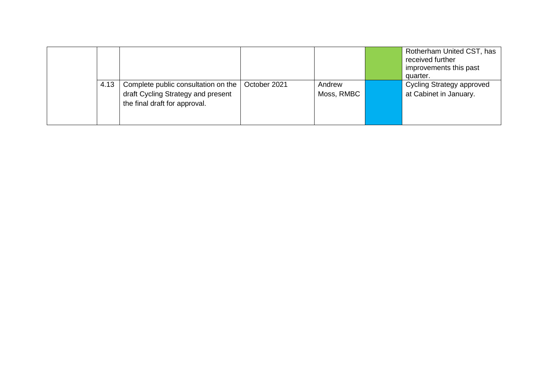|      |                                                                                                            |              |                      | Rotherham United CST, has<br>received further<br>improvements this past<br>quarter. |
|------|------------------------------------------------------------------------------------------------------------|--------------|----------------------|-------------------------------------------------------------------------------------|
| 4.13 | Complete public consultation on the<br>draft Cycling Strategy and present<br>the final draft for approval. | October 2021 | Andrew<br>Moss, RMBC | <b>Cycling Strategy approved</b><br>at Cabinet in January.                          |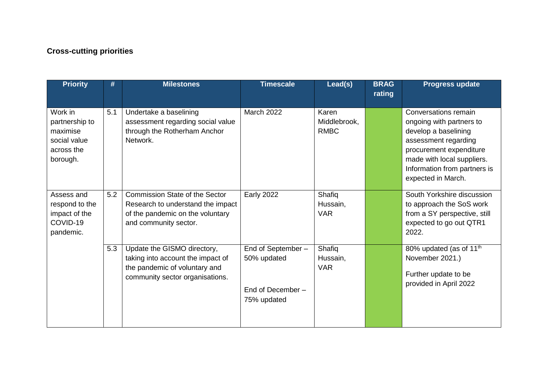## **Cross-cutting priorities**

| <b>Priority</b>                                                                 | #   | <b>Milestones</b>                                                                                                                       | <b>Timescale</b>                                                      | Lead(s)                              | <b>BRAG</b><br>rating | <b>Progress update</b>                                                                                                                                                                                          |
|---------------------------------------------------------------------------------|-----|-----------------------------------------------------------------------------------------------------------------------------------------|-----------------------------------------------------------------------|--------------------------------------|-----------------------|-----------------------------------------------------------------------------------------------------------------------------------------------------------------------------------------------------------------|
| Work in<br>partnership to<br>maximise<br>social value<br>across the<br>borough. | 5.1 | Undertake a baselining<br>assessment regarding social value<br>through the Rotherham Anchor<br>Network.                                 | March 2022                                                            | Karen<br>Middlebrook,<br><b>RMBC</b> |                       | Conversations remain<br>ongoing with partners to<br>develop a baselining<br>assessment regarding<br>procurement expenditure<br>made with local suppliers.<br>Information from partners is<br>expected in March. |
| Assess and<br>respond to the<br>impact of the<br>COVID-19<br>pandemic.          | 5.2 | <b>Commission State of the Sector</b><br>Research to understand the impact<br>of the pandemic on the voluntary<br>and community sector. | <b>Early 2022</b>                                                     | Shafiq<br>Hussain,<br><b>VAR</b>     |                       | South Yorkshire discussion<br>to approach the SoS work<br>from a SY perspective, still<br>expected to go out QTR1<br>2022.                                                                                      |
|                                                                                 | 5.3 | Update the GISMO directory,<br>taking into account the impact of<br>the pandemic of voluntary and<br>community sector organisations.    | End of September -<br>50% updated<br>End of December -<br>75% updated | Shafiq<br>Hussain,<br><b>VAR</b>     |                       | 80% updated (as of 11 <sup>th</sup><br>November 2021.)<br>Further update to be<br>provided in April 2022                                                                                                        |